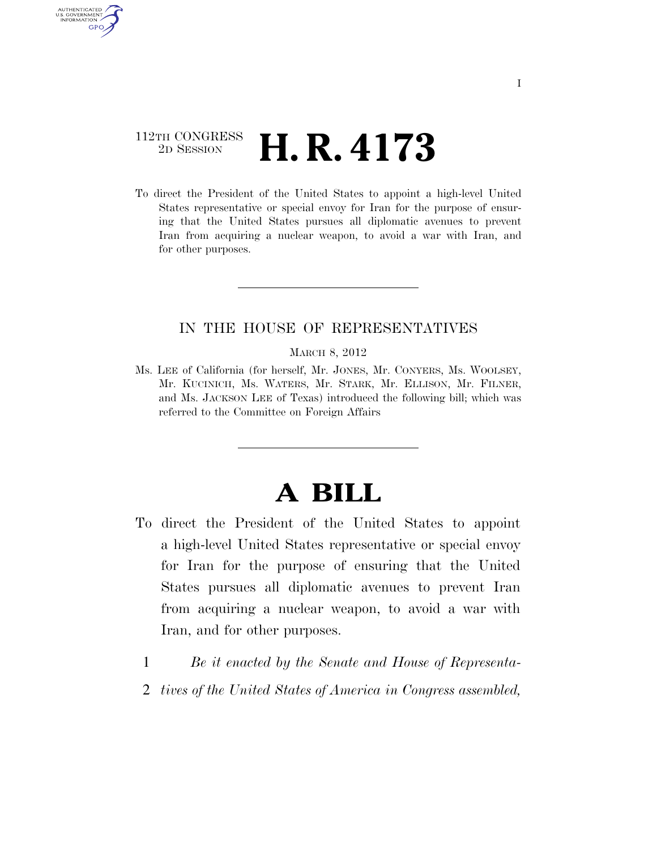# 112TH CONGRESS <sup>2D SESSION</sup> **H. R. 4173**

AUTHENTICATED U.S. GOVERNMENT **GPO** 

> To direct the President of the United States to appoint a high-level United States representative or special envoy for Iran for the purpose of ensuring that the United States pursues all diplomatic avenues to prevent Iran from acquiring a nuclear weapon, to avoid a war with Iran, and for other purposes.

# IN THE HOUSE OF REPRESENTATIVES

MARCH 8, 2012

Ms. LEE of California (for herself, Mr. JONES, Mr. CONYERS, Ms. WOOLSEY, Mr. KUCINICH, Ms. WATERS, Mr. STARK, Mr. ELLISON, Mr. FILNER, and Ms. JACKSON LEE of Texas) introduced the following bill; which was referred to the Committee on Foreign Affairs

# **A BILL**

- To direct the President of the United States to appoint a high-level United States representative or special envoy for Iran for the purpose of ensuring that the United States pursues all diplomatic avenues to prevent Iran from acquiring a nuclear weapon, to avoid a war with Iran, and for other purposes.
	- 1 *Be it enacted by the Senate and House of Representa-*
	- 2 *tives of the United States of America in Congress assembled,*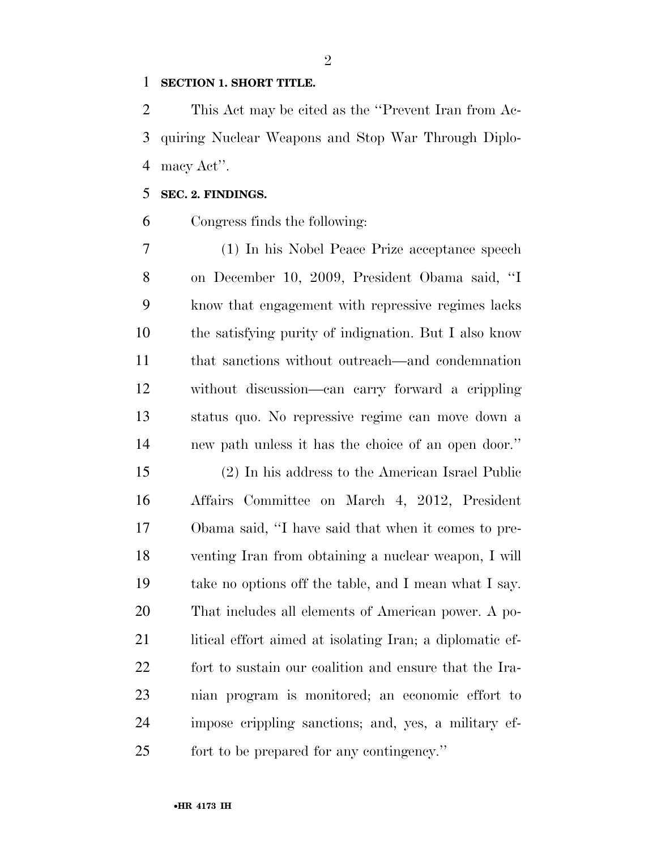#### **SECTION 1. SHORT TITLE.**

 This Act may be cited as the ''Prevent Iran from Ac- quiring Nuclear Weapons and Stop War Through Diplo-macy Act''.

## **SEC. 2. FINDINGS.**

Congress finds the following:

 (1) In his Nobel Peace Prize acceptance speech on December 10, 2009, President Obama said, ''I know that engagement with repressive regimes lacks the satisfying purity of indignation. But I also know that sanctions without outreach—and condemnation without discussion—can carry forward a crippling status quo. No repressive regime can move down a new path unless it has the choice of an open door.''

 (2) In his address to the American Israel Public Affairs Committee on March 4, 2012, President Obama said, ''I have said that when it comes to pre- venting Iran from obtaining a nuclear weapon, I will take no options off the table, and I mean what I say. That includes all elements of American power. A po-21 litical effort aimed at isolating Iran; a diplomatic ef- fort to sustain our coalition and ensure that the Ira- nian program is monitored; an economic effort to impose crippling sanctions; and, yes, a military ef-fort to be prepared for any contingency.''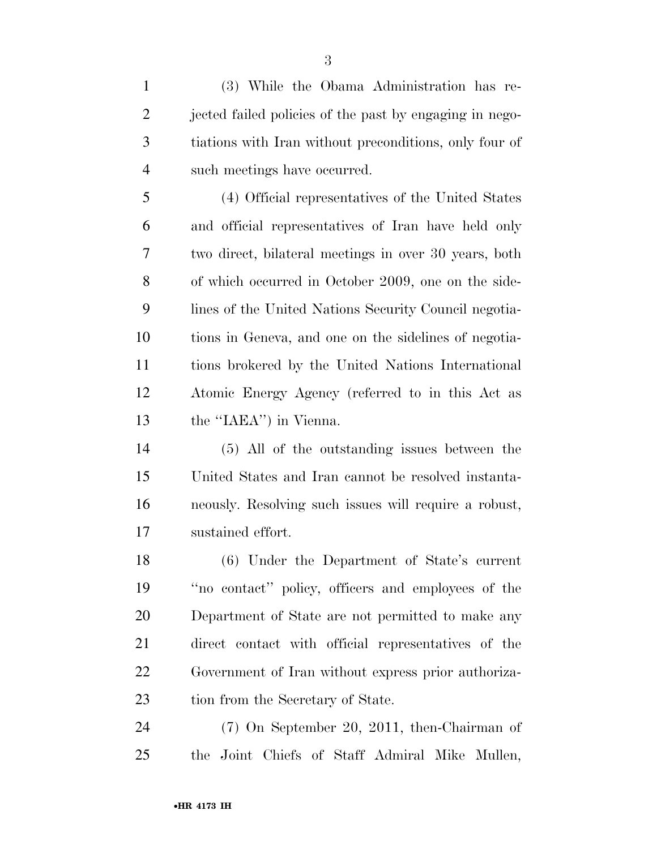(3) While the Obama Administration has re-2 jected failed policies of the past by engaging in nego- tiations with Iran without preconditions, only four of such meetings have occurred.

 (4) Official representatives of the United States and official representatives of Iran have held only two direct, bilateral meetings in over 30 years, both of which occurred in October 2009, one on the side- lines of the United Nations Security Council negotia- tions in Geneva, and one on the sidelines of negotia- tions brokered by the United Nations International Atomic Energy Agency (referred to in this Act as the ''IAEA'') in Vienna.

 (5) All of the outstanding issues between the United States and Iran cannot be resolved instanta- neously. Resolving such issues will require a robust, sustained effort.

 (6) Under the Department of State's current ''no contact'' policy, officers and employees of the Department of State are not permitted to make any direct contact with official representatives of the Government of Iran without express prior authoriza-23 tion from the Secretary of State.

 (7) On September 20, 2011, then-Chairman of the Joint Chiefs of Staff Admiral Mike Mullen,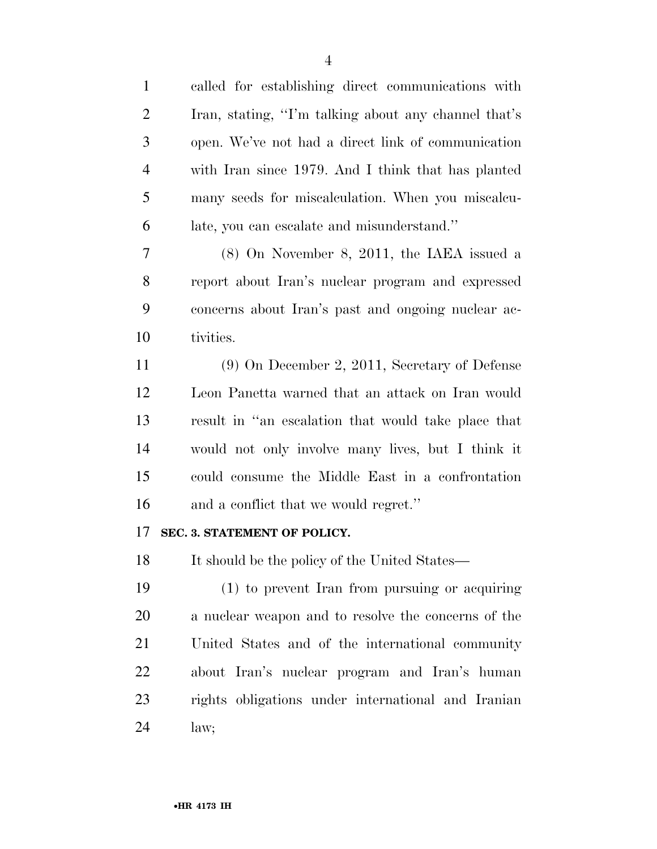| $\mathbf{1}$   | called for establishing direct communications with   |
|----------------|------------------------------------------------------|
| $\overline{2}$ | Iran, stating, "I'm talking about any channel that's |
| 3              | open. We've not had a direct link of communication   |
| $\overline{4}$ | with Iran since 1979. And I think that has planted   |
| 5              | many seeds for miscalculation. When you miscalcu-    |
| 6              | late, you can escalate and misunderstand."           |
| 7              | $(8)$ On November 8, 2011, the IAEA issued a         |
| 8              | report about Iran's nuclear program and expressed    |
| 9              | concerns about Iran's past and ongoing nuclear ac-   |
| 10             | tivities.                                            |
| 11             | $(9)$ On December 2, 2011, Secretary of Defense      |
| 12             | Leon Panetta warned that an attack on Iran would     |
| 13             | result in "an escalation that would take place that  |
| 14             | would not only involve many lives, but I think it    |
| 15             | could consume the Middle East in a confrontation     |
| 16             | and a conflict that we would regret."                |
| 17             | SEC. 3. STATEMENT OF POLICY.                         |
| 18             | It should be the policy of the United States—        |
| 19             | (1) to prevent Iran from pursuing or acquiring       |
| 20             | a nuclear weapon and to resolve the concerns of the  |
| 21             | United States and of the international community     |
| 22             | about Iran's nuclear program and Iran's human        |
| 23             | rights obligations under international and Iranian   |
| 24             | law;                                                 |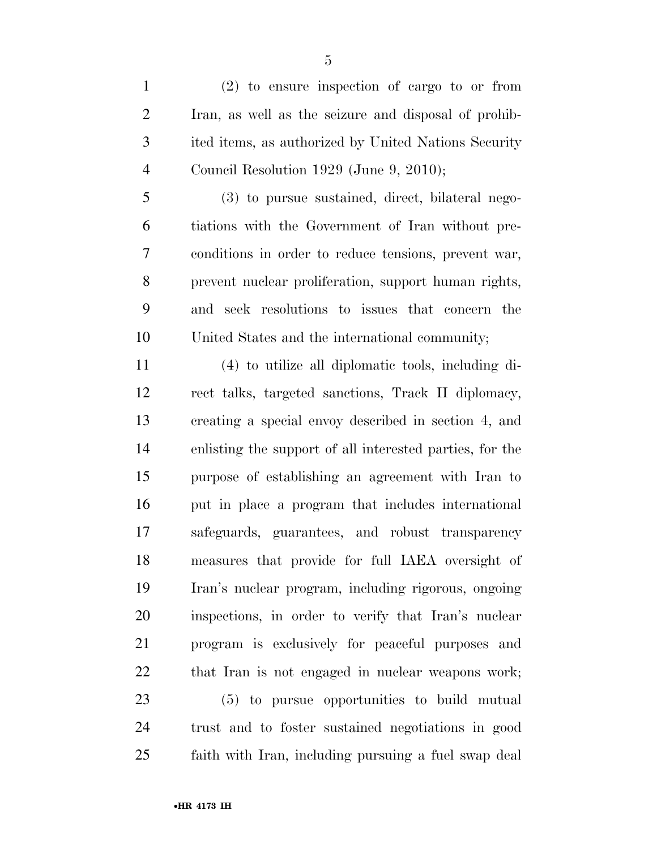(2) to ensure inspection of cargo to or from Iran, as well as the seizure and disposal of prohib- ited items, as authorized by United Nations Security Council Resolution 1929 (June 9, 2010);

 (3) to pursue sustained, direct, bilateral nego- tiations with the Government of Iran without pre- conditions in order to reduce tensions, prevent war, prevent nuclear proliferation, support human rights, and seek resolutions to issues that concern the United States and the international community;

 (4) to utilize all diplomatic tools, including di- rect talks, targeted sanctions, Track II diplomacy, creating a special envoy described in section 4, and enlisting the support of all interested parties, for the purpose of establishing an agreement with Iran to put in place a program that includes international safeguards, guarantees, and robust transparency measures that provide for full IAEA oversight of Iran's nuclear program, including rigorous, ongoing inspections, in order to verify that Iran's nuclear program is exclusively for peaceful purposes and that Iran is not engaged in nuclear weapons work; (5) to pursue opportunities to build mutual trust and to foster sustained negotiations in good faith with Iran, including pursuing a fuel swap deal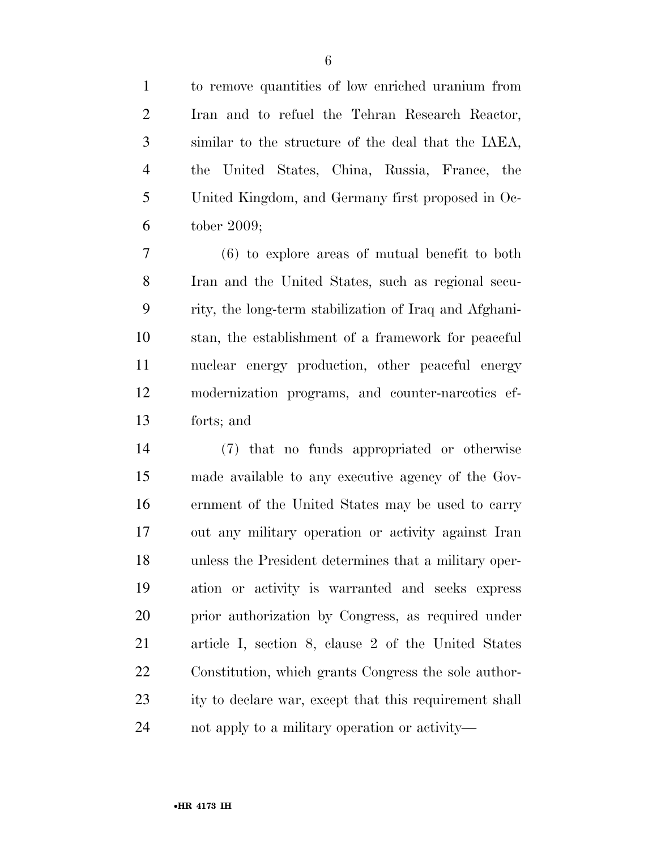to remove quantities of low enriched uranium from Iran and to refuel the Tehran Research Reactor, similar to the structure of the deal that the IAEA, the United States, China, Russia, France, the United Kingdom, and Germany first proposed in Oc-tober 2009;

 (6) to explore areas of mutual benefit to both Iran and the United States, such as regional secu- rity, the long-term stabilization of Iraq and Afghani- stan, the establishment of a framework for peaceful nuclear energy production, other peaceful energy modernization programs, and counter-narcotics ef-forts; and

 (7) that no funds appropriated or otherwise made available to any executive agency of the Gov- ernment of the United States may be used to carry out any military operation or activity against Iran unless the President determines that a military oper- ation or activity is warranted and seeks express prior authorization by Congress, as required under article I, section 8, clause 2 of the United States Constitution, which grants Congress the sole author-23 ity to declare war, except that this requirement shall not apply to a military operation or activity—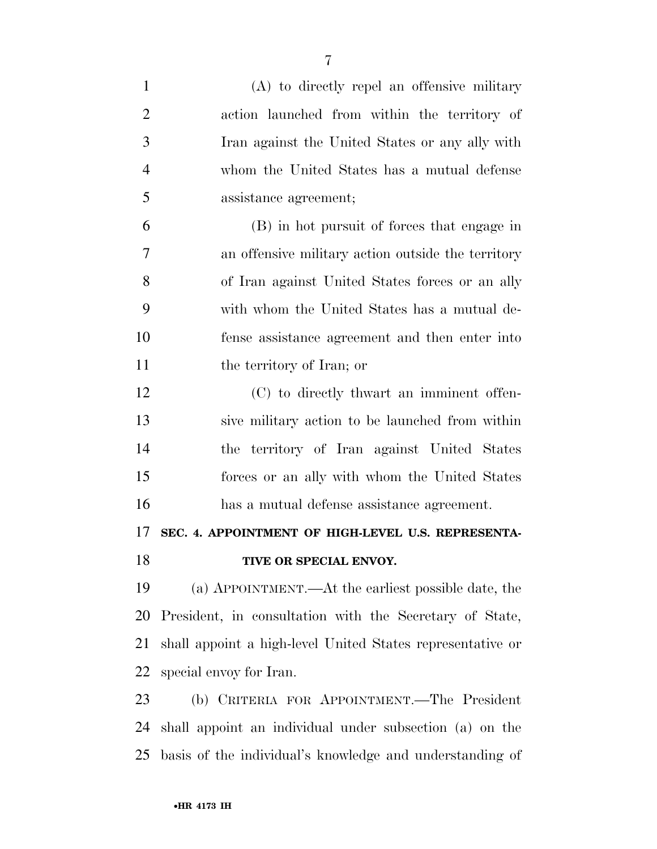| $\mathbf{1}$   | (A) to directly repel an offensive military                |
|----------------|------------------------------------------------------------|
| $\overline{2}$ | action launched from within the territory of               |
| 3              | Iran against the United States or any ally with            |
| $\overline{4}$ | whom the United States has a mutual defense                |
| 5              | assistance agreement;                                      |
| 6              | (B) in hot pursuit of forces that engage in                |
| 7              | an offensive military action outside the territory         |
| 8              | of Iran against United States forces or an ally            |
| 9              | with whom the United States has a mutual de-               |
| 10             | fense assistance agreement and then enter into             |
| 11             | the territory of Iran; or                                  |
| 12             | (C) to directly thwart an imminent offen-                  |
| 13             | sive military action to be launched from within            |
| 14             | the territory of Iran against United States                |
| 15             | forces or an ally with whom the United States              |
| 16             | has a mutual defense assistance agreement.                 |
| 17             | SEC. 4. APPOINTMENT OF HIGH-LEVEL U.S. REPRESENTA-         |
| 18             | TIVE OR SPECIAL ENVOY.                                     |
| 19             | (a) APPOINTMENT.—At the earliest possible date, the        |
| 20             | President, in consultation with the Secretary of State,    |
| 21             | shall appoint a high-level United States representative or |
| 22             | special envoy for Iran.                                    |
| 23             | (b) CRITERIA FOR APPOINTMENT.—The President                |
| 24             | shall appoint an individual under subsection (a) on the    |
| 25             | basis of the individual's knowledge and understanding of   |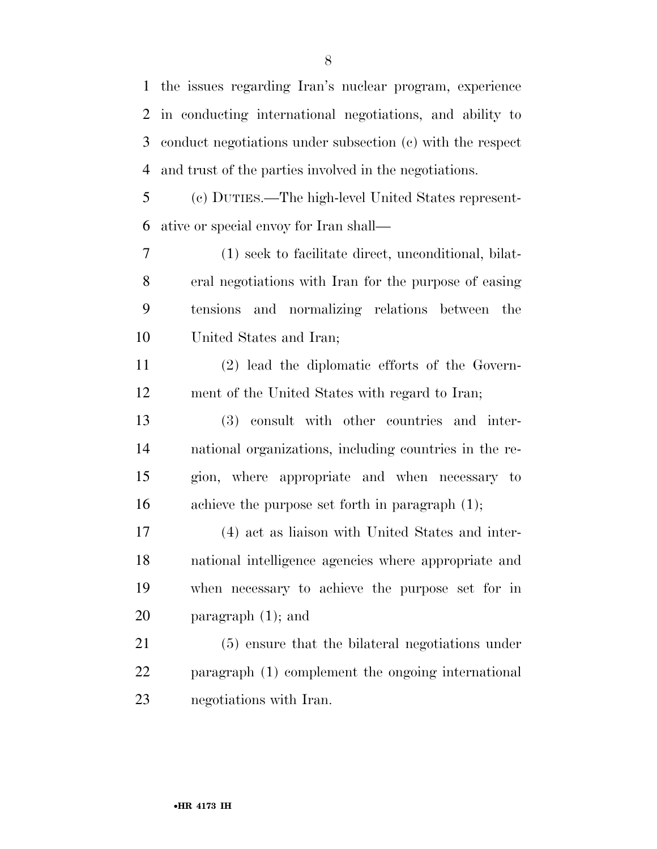the issues regarding Iran's nuclear program, experience in conducting international negotiations, and ability to conduct negotiations under subsection (c) with the respect and trust of the parties involved in the negotiations.

 (c) DUTIES.—The high-level United States represent-ative or special envoy for Iran shall—

 (1) seek to facilitate direct, unconditional, bilat- eral negotiations with Iran for the purpose of easing tensions and normalizing relations between the United States and Iran;

 (2) lead the diplomatic efforts of the Govern-ment of the United States with regard to Iran;

 (3) consult with other countries and inter- national organizations, including countries in the re- gion, where appropriate and when necessary to achieve the purpose set forth in paragraph (1);

 (4) act as liaison with United States and inter- national intelligence agencies where appropriate and when necessary to achieve the purpose set for in paragraph (1); and

 (5) ensure that the bilateral negotiations under paragraph (1) complement the ongoing international negotiations with Iran.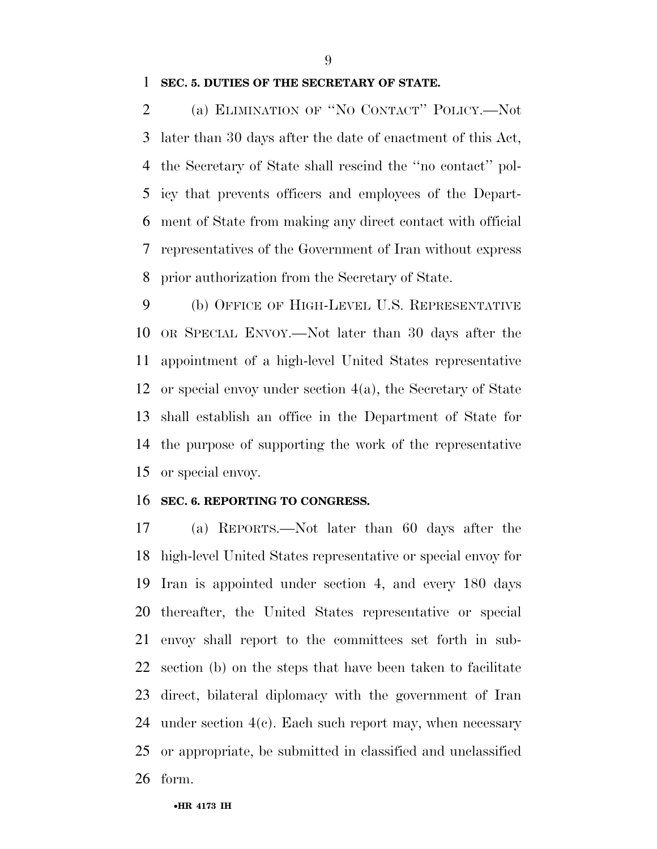**SEC. 5. DUTIES OF THE SECRETARY OF STATE.** 

 (a) ELIMINATION OF ''NO CONTACT'' POLICY.—Not later than 30 days after the date of enactment of this Act, the Secretary of State shall rescind the ''no contact'' pol- icy that prevents officers and employees of the Depart- ment of State from making any direct contact with official representatives of the Government of Iran without express prior authorization from the Secretary of State.

 (b) OFFICE OF HIGH-LEVEL U.S. REPRESENTATIVE OR SPECIAL ENVOY.—Not later than 30 days after the appointment of a high-level United States representative or special envoy under section 4(a), the Secretary of State shall establish an office in the Department of State for the purpose of supporting the work of the representative or special envoy.

#### **SEC. 6. REPORTING TO CONGRESS.**

 (a) REPORTS.—Not later than 60 days after the high-level United States representative or special envoy for Iran is appointed under section 4, and every 180 days thereafter, the United States representative or special envoy shall report to the committees set forth in sub- section (b) on the steps that have been taken to facilitate direct, bilateral diplomacy with the government of Iran 24 under section  $4(c)$ . Each such report may, when necessary or appropriate, be submitted in classified and unclassified form.